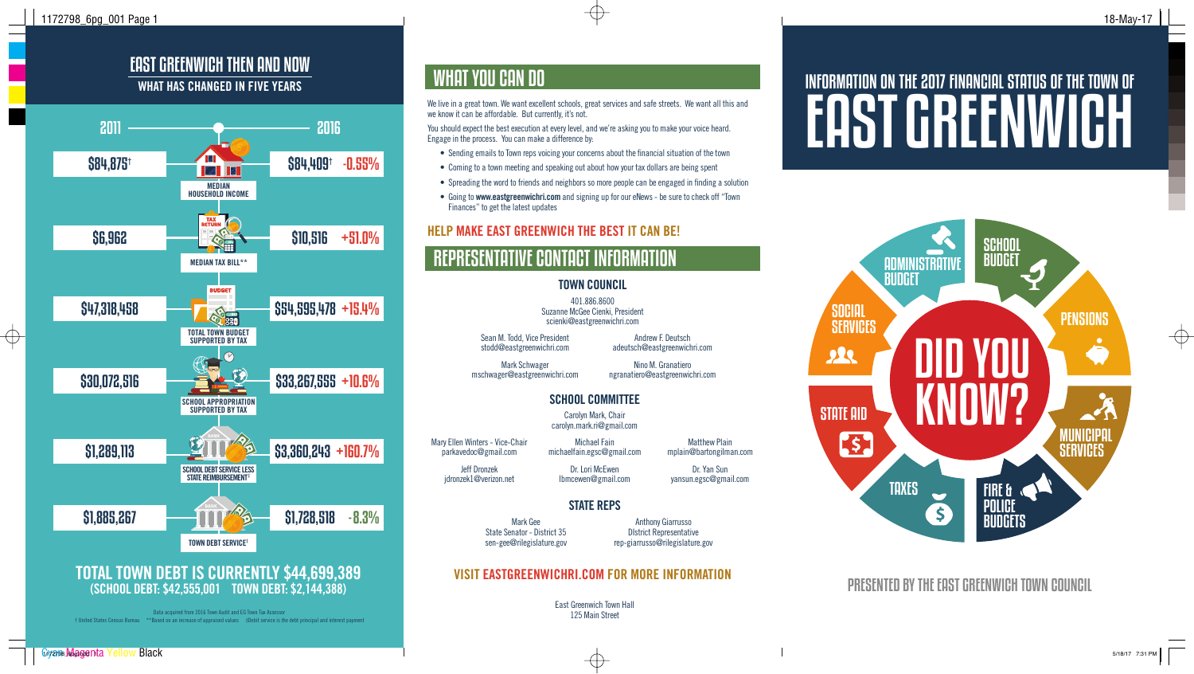$\oplus$ 

### EAST GREENWICH THEN AND NOW WHAT HAS CHANGED IN FIVE YEARS

# INFORMATION ON THE 2017 FINANCIAL STATUS OF THE TOWN OF EAST GREENWICH

PRESENTED BY THE EAST GREENWICH TOWN COUNCIL

 $\bigoplus$ 



# REPRESENTATIVE CONTACT INFORMATION

East Greenwich Town Hall 125 Main Street

Sean M. Todd, Vice President stodd@eastgreenwichri.com

Mark Schwager mschwager@eastgreenwichri.com Andrew F. Deutsch

adeutsch@eastgreenwichri.com Nino M. Granatiero ngranatiero@eastgreenwichri.com

Mary Ellen Winters - Vice-Chair parkavedoc@gmail.com Jeff Dronzek jdronzek1@verizon.net

Michael Fain michaelfain.egsc@gmail.com

Dr. Lori McEwen lbmcewen@gmail.com

Matthew Plain mplain@bartongilman.com

Dr. Yan Sun yansun.egsc@gmail.com

Mark Gee State Senator - District 35 sen-gee@rilegislature.gov

Anthony Giarrusso DIstrict Representative rep-giarrusso@rilegislature.gov

#### TOWN COUNCIL

401.886.8600 Suzanne McGee Cienki, President scienki@eastgreenwichri.com

### SCHOOL COMMITTEE

Carolyn Mark, Chair carolyn.mark.ri@gmail.com

### STATE REPS



## WHAT YOU CAN DO

We live in a great town. We want excellent schools, great services and safe streets. We want all this and we know it can be affordable. But currently, it's not.

You should expect the best execution at every level, and we're asking you to make your voice heard. Engage in the process. You can make a difference by:

- Sending emails to Town reps voicing your concerns about the financial situation of the town
- Coming to a town meeting and speaking out about how your tax dollars are being spent
- Spreading the word to friends and neighbors so more people can be engaged in finding a solution
- Going to www.eastgreenwichri.com and signing up for our eNews be sure to check off "Town Finances" to get the latest updates

#### HELP MAKE EAST GREENWICH THE BEST IT CAN BE!

### VISIT EASTGREENWICHRI.COM FOR MORE INFORMATION

Data acquired from 2016 Town Audit and EG Town Tax Assessor † United States Census Bureau \*\*Based on an increase of appraised values ‡Debit service is the debt principal and interest payment